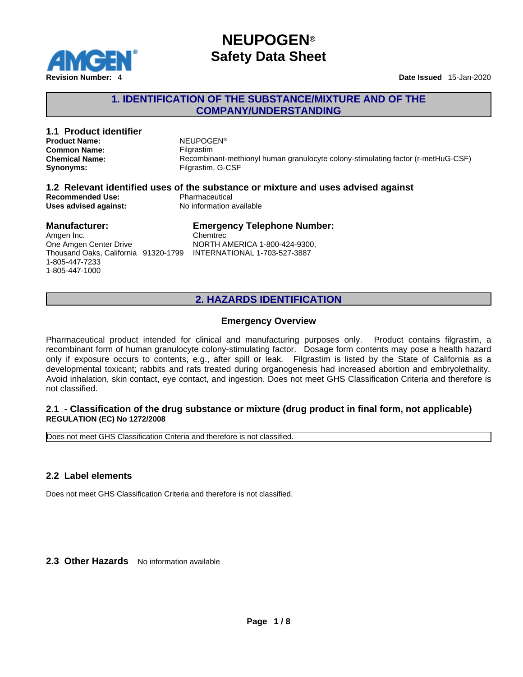

## **1. IDENTIFICATION OF THE SUBSTANCE/MIXTURE AND OF THE COMPANY/UNDERSTANDING**

| 1.1 Product identifier<br><b>Product Name:</b><br><b>Common Name:</b><br><b>Chemical Name:</b>                         | <b>NEUPOGEN®</b><br>Filgrastim<br>Recombinant-methionyl human granulocyte colony-stimulating factor (r-metHuG-CSF)              |
|------------------------------------------------------------------------------------------------------------------------|---------------------------------------------------------------------------------------------------------------------------------|
| Synonyms:                                                                                                              | Filgrastim, G-CSF                                                                                                               |
| <b>Recommended Use:</b><br>Uses advised against:                                                                       | 1.2 Relevant identified uses of the substance or mixture and uses advised against<br>Pharmaceutical<br>No information available |
| <b>Manufacturer:</b><br>Amgen Inc.<br>One Amgen Center Drive<br>Thousand Oaks, California 91320-1799<br>1-805-447-7233 | <b>Emergency Telephone Number:</b><br>Chemtrec<br>NORTH AMERICA 1-800-424-9300,<br>INTERNATIONAL 1-703-527-3887                 |

## **2. HAZARDS IDENTIFICATION**

### **Emergency Overview**

Pharmaceutical product intended for clinical and manufacturing purposes only. Product contains filgrastim, a recombinant form of human granulocyte colony-stimulating factor. Dosage form contents maypose a health hazard only if exposure occurs to contents, e.g., after spill or leak. Filgrastim is listed by the State of California as a developmental toxicant; rabbits and rats treated during organogenesis had increased abortion and embryolethality. Avoid inhalation, skin contact, eye contact, and ingestion. Does not meetGHS Classification Criteria and therefore is not classified.

### **2.1 - Classification of the drug substance or mixture (drug product in final form, not applicable) REGULATION (EC) No 1272/2008**

Does not meet GHS Classification Criteria and therefore is not classified.

### **2.2 Label elements**

1-805-447-1000

Does not meet GHS Classification Criteria and therefore is not classified.

2.3 Other Hazards No information available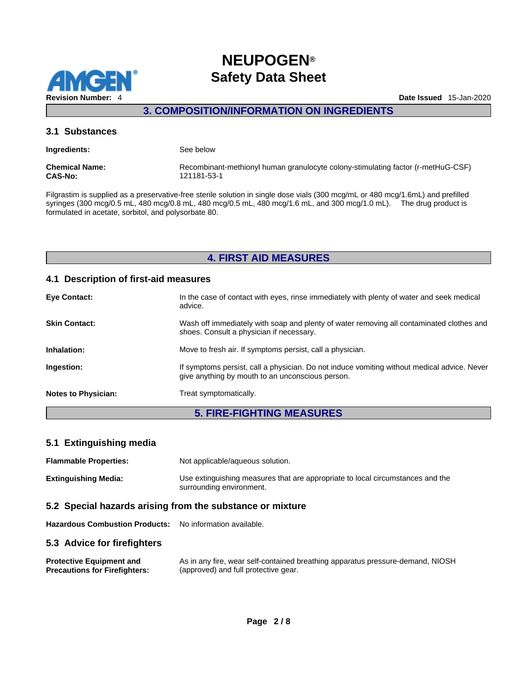

## **3. COMPOSITION/INFORMATION ON INGREDIENTS**

### **3.1 Substances**

| Ingredients:          | See below                                                                        |
|-----------------------|----------------------------------------------------------------------------------|
| <b>Chemical Name:</b> | Recombinant-methionyl human granulocyte colony-stimulating factor (r-metHuG-CSF) |
| <b>CAS-No:</b>        | 121181-53-1                                                                      |

Filgrastim is supplied as a preservative-free sterile solution in single dose vials (300 mcg/mL or 480 mcg/1.6mL) and prefilled syringes (300 mcg/0.5 mL, 480 mcg/0.8 mL, 480 mcg/0.5 mL, 480 mcg/1.6 mL, and 300 mcg/1.0 mL). The drug product is formulated in acetate, sorbitol, and polysorbate 80.

## **4. FIRST AID MEASURES**

### **4.1 Description of first-aid measures**

| Eye Contact:               | In the case of contact with eyes, rinse immediately with plenty of water and seek medical<br>advice.                                            |
|----------------------------|-------------------------------------------------------------------------------------------------------------------------------------------------|
| <b>Skin Contact:</b>       | Wash off immediately with soap and plenty of water removing all contaminated clothes and<br>shoes. Consult a physician if necessary.            |
| Inhalation:                | Move to fresh air. If symptoms persist, call a physician.                                                                                       |
| Ingestion:                 | If symptoms persist, call a physician. Do not induce vomiting without medical advice. Never<br>give anything by mouth to an unconscious person. |
| <b>Notes to Physician:</b> | Treat symptomatically.                                                                                                                          |

## **5. FIRE-FIGHTING MEASURES**

## **5.1 Extinguishing media**

| <b>Flammable Properties:</b> | Not applicable/aqueous solution.                                                                           |
|------------------------------|------------------------------------------------------------------------------------------------------------|
| <b>Extinguishing Media:</b>  | Use extinguishing measures that are appropriate to local circumstances and the<br>surrounding environment. |

### **5.2 Special hazards arising from the substance or mixture**

**Hazardous Combustion Products:** No information available.

### **5.3 Advice for firefighters**

| <b>Protective Equipment and</b>      | As in any fire, wear self-contained breathing apparatus pressure-demand, NIOSH |
|--------------------------------------|--------------------------------------------------------------------------------|
| <b>Precautions for Firefighters:</b> | (approved) and full protective gear.                                           |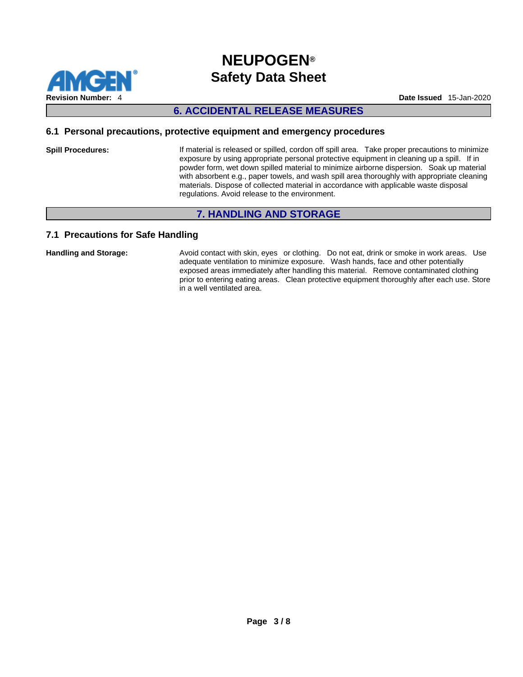

## **6. ACCIDENTAL RELEASE MEASURES**

### **6.1 Personal precautions, protective equipment and emergency procedures**

**Spill Procedures:** If material is released or spilled, cordon off spill area. Take proper precautions to minimize exposure by using appropriate personal protective equipment in cleaning up a spill. If in powder form, wet down spilled material to minimize airborne dispersion. Soak up material with absorbent e.g., paper towels, and wash spill area thoroughly with appropriate cleaning materials. Dispose of collected material in accordance with applicable waste disposal regulations. Avoid release to the environment.

## **7. HANDLING AND STORAGE**

### **7.1 Precautions for Safe Handling**

Handling and Storage: **Avoid contact with skin, eyes** or clothing. Do not eat, drink or smoke in work areas. Use adequate ventilation to minimize exposure. Wash hands, face and other potentially exposed areas immediately after handling this material. Remove contaminated clothing prior to entering eating areas. Clean protective equipment thoroughly after each use. Store in a well ventilated area.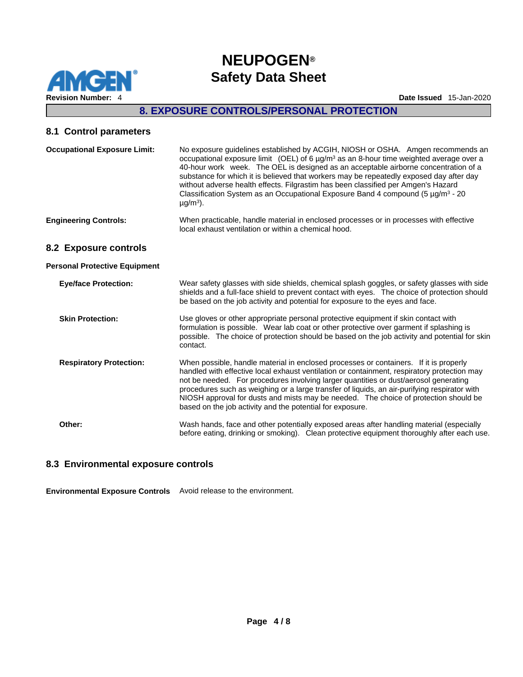

## **8. EXPOSURE CONTROLS/PERSONAL PROTECTION**

### **8.1 Control parameters**

| <b>Occupational Exposure Limit:</b>  | No exposure guidelines established by ACGIH, NIOSH or OSHA. Amgen recommends an<br>occupational exposure limit (OEL) of 6 $\mu$ g/m <sup>3</sup> as an 8-hour time weighted average over a<br>40-hour work week. The OEL is designed as an acceptable airborne concentration of a<br>substance for which it is believed that workers may be repeatedly exposed day after day<br>without adverse health effects. Filgrastim has been classified per Amgen's Hazard<br>Classification System as an Occupational Exposure Band 4 compound (5 $\mu$ g/m <sup>3</sup> - 20<br>$\mu$ g/m <sup>3</sup> ). |
|--------------------------------------|----------------------------------------------------------------------------------------------------------------------------------------------------------------------------------------------------------------------------------------------------------------------------------------------------------------------------------------------------------------------------------------------------------------------------------------------------------------------------------------------------------------------------------------------------------------------------------------------------|
| <b>Engineering Controls:</b>         | When practicable, handle material in enclosed processes or in processes with effective<br>local exhaust ventilation or within a chemical hood.                                                                                                                                                                                                                                                                                                                                                                                                                                                     |
| 8.2 Exposure controls                |                                                                                                                                                                                                                                                                                                                                                                                                                                                                                                                                                                                                    |
| <b>Personal Protective Equipment</b> |                                                                                                                                                                                                                                                                                                                                                                                                                                                                                                                                                                                                    |
| <b>Eye/face Protection:</b>          | Wear safety glasses with side shields, chemical splash goggles, or safety glasses with side<br>shields and a full-face shield to prevent contact with eyes. The choice of protection should<br>be based on the job activity and potential for exposure to the eyes and face.                                                                                                                                                                                                                                                                                                                       |
| <b>Skin Protection:</b>              | Use gloves or other appropriate personal protective equipment if skin contact with<br>formulation is possible. Wear lab coat or other protective over garment if splashing is<br>possible. The choice of protection should be based on the job activity and potential for skin<br>contact.                                                                                                                                                                                                                                                                                                         |
| <b>Respiratory Protection:</b>       | When possible, handle material in enclosed processes or containers. If it is properly<br>handled with effective local exhaust ventilation or containment, respiratory protection may<br>not be needed. For procedures involving larger quantities or dust/aerosol generating<br>procedures such as weighing or a large transfer of liquids, an air-purifying respirator with<br>NIOSH approval for dusts and mists may be needed. The choice of protection should be<br>based on the job activity and the potential for exposure.                                                                  |
| Other:                               | Wash hands, face and other potentially exposed areas after handling material (especially<br>before eating, drinking or smoking). Clean protective equipment thoroughly after each use.                                                                                                                                                                                                                                                                                                                                                                                                             |

### **8.3 Environmental exposure controls**

**Environmental Exposure Controls** Avoid release to the environment.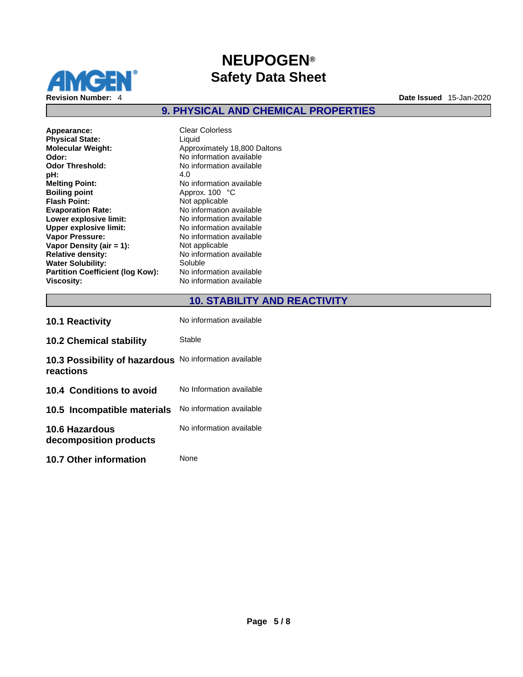

## **9. PHYSICAL AND CHEMICAL PROPERTIES**

**Appearance:** Clear Colorless<br> **Physical State:** Clear Colorless **Physical State: Molecular Weight:** Approximately 18,800 Daltons **Odor:** No information available **Odor Threshold:** No information available<br> **pH:** 4.0 **pH:** 4.0 **Melting Point:**<br> **Boiling point**<br> **Boiling point**<br> **Approx.** 100 °C **Flash Point:** Not applicable **Evaporation Rate:** No information available **Lower explosive limit:**<br> **Upper explosive limit:** No information available<br>
No information available **Upper explosive limit: Vapor Pressure:** No information available **Vapor Density (air = 1):**<br> **Relative density:** No information **Water Solubility:** Soluble<br> **Partition Coefficient (log Kow):** No information available **Partition Coefficient (log Kow): Viscosity:** No information available

**Boiling point** Approx. 100 °C **No information available**<br>Soluble

## **10. STABILITY AND REACTIVITY**

| <b>10.1 Reactivity</b>                          | No information available |
|-------------------------------------------------|--------------------------|
| <b>10.2 Chemical stability</b>                  | Stable                   |
| 10.3 Possibility of hazardous<br>reactions      | No information available |
| 10.4 Conditions to avoid                        | No Information available |
| 10.5 Incompatible materials                     | No information available |
| <b>10.6 Hazardous</b><br>decomposition products | No information available |
| <b>10.7 Other information</b>                   | None                     |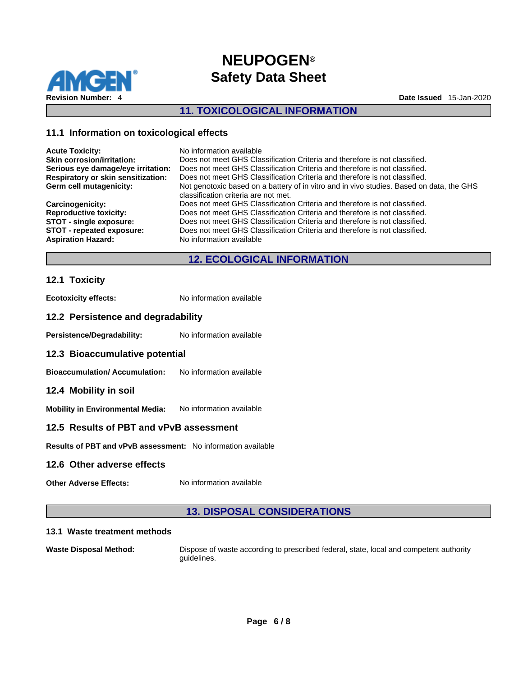

## **11. TOXICOLOGICAL INFORMATION**

### **11.1 Information on toxicological effects**

| <b>Acute Toxicity:</b>             | No information available                                                                 |
|------------------------------------|------------------------------------------------------------------------------------------|
| <b>Skin corrosion/irritation:</b>  | Does not meet GHS Classification Criteria and therefore is not classified.               |
| Serious eye damage/eye irritation: | Does not meet GHS Classification Criteria and therefore is not classified.               |
| Respiratory or skin sensitization: | Does not meet GHS Classification Criteria and therefore is not classified.               |
| Germ cell mutagenicity:            | Not genotoxic based on a battery of in vitro and in vivo studies. Based on data, the GHS |
|                                    | classification criteria are not met.                                                     |
| <b>Carcinogenicity:</b>            | Does not meet GHS Classification Criteria and therefore is not classified.               |
| <b>Reproductive toxicity:</b>      | Does not meet GHS Classification Criteria and therefore is not classified.               |
| <b>STOT - single exposure:</b>     | Does not meet GHS Classification Criteria and therefore is not classified.               |
| STOT - repeated exposure:          | Does not meet GHS Classification Criteria and therefore is not classified.               |
| <b>Aspiration Hazard:</b>          | No information available                                                                 |
|                                    |                                                                                          |

## **12. ECOLOGICAL INFORMATION**

### **12.1 Toxicity**

**Ecotoxicity effects:** No information available

### **12.2 Persistence and degradability**

Persistence/Degradability: No information available

### **12.3 Bioaccumulative potential**

**Bioaccumulation/ Accumulation:** No information available

### **12.4 Mobility in soil**

**Mobility in Environmental Media:** No information available

### **12.5 Results of PBT and vPvB assessment**

**Results of PBT and vPvB assessment:** No information available

### **12.6 Other adverse effects**

**Other Adverse Effects:** No information available

## **13. DISPOSAL CONSIDERATIONS**

#### **13.1 Waste treatment methods**

**Waste Disposal Method:** Dispose of waste according to prescribed federal, state, local and competent authority guidelines.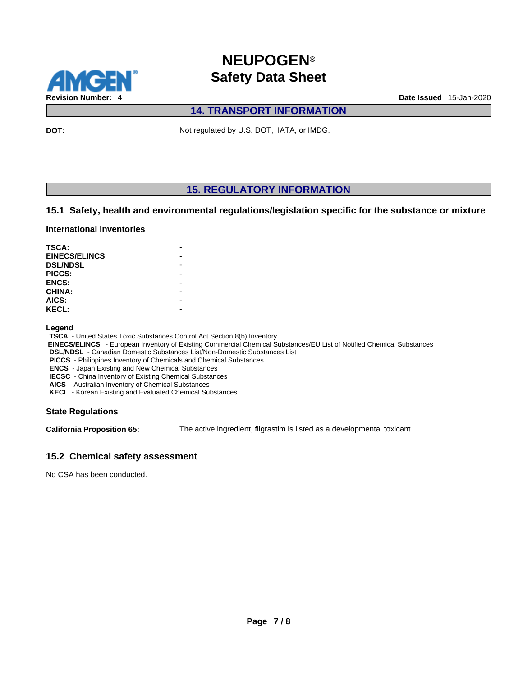

## **14. TRANSPORT INFORMATION**

**DOT:** Not regulated by U.S. DOT, IATA, or IMDG.

## **15. REGULATORY INFORMATION**

### **15.1 Safety, health and environmental regulations/legislation specific for the substance or mixture**

#### **International Inventories**

| TSCA:                |  |
|----------------------|--|
| <b>EINECS/ELINCS</b> |  |
| <b>DSL/NDSL</b>      |  |
| PICCS:               |  |
| <b>ENCS:</b>         |  |
| <b>CHINA:</b>        |  |
| AICS:                |  |
| <b>KECL:</b>         |  |

#### **Legend**

**TSCA** - United States Toxic Substances Control Act Section 8(b) Inventory

 **EINECS/ELINCS** - European Inventory of Existing Commercial Chemical Substances/EU List of Notified Chemical Substances

**DSL/NDSL** - Canadian Domestic Substances List/Non-Domestic Substances List

**PICCS** - Philippines Inventory of Chemicals and Chemical Substances

**ENCS** - Japan Existing and New Chemical Substances **IECSC** - China Inventory of Existing Chemical Substances

**AICS** - Australian Inventory of Chemical Substances

**KECL** - Korean Existing and Evaluated Chemical Substances

### **State Regulations**

**California Proposition 65:** The active ingredient, filgrastim is listed as a developmental toxicant.

### **15.2 Chemical safety assessment**

No CSA has been conducted.